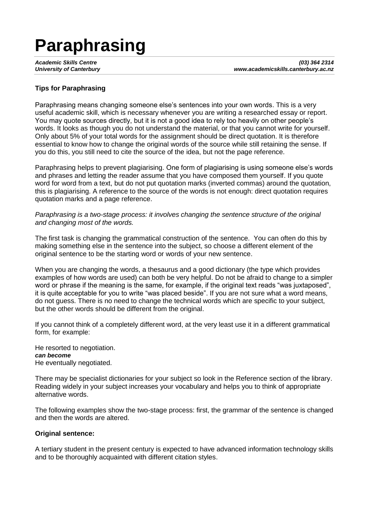# **Paraphrasing**

*Academic Skills Centre (03) 364 2314 University of Canterbury www.academicskills.canterbury.ac.nz*

## **Tips for Paraphrasing**

Paraphrasing means changing someone else's sentences into your own words. This is a very useful academic skill, which is necessary whenever you are writing a researched essay or report. You may quote sources directly, but it is not a good idea to rely too heavily on other people's words. It looks as though you do not understand the material, or that you cannot write for yourself. Only about 5% of your total words for the assignment should be direct quotation. It is therefore essential to know how to change the original words of the source while still retaining the sense. If you do this, you still need to cite the source of the idea, but not the page reference.

Paraphrasing helps to prevent plagiarising. One form of plagiarising is using someone else's words and phrases and letting the reader assume that you have composed them yourself. If you quote word for word from a text, but do not put quotation marks (inverted commas) around the quotation, this is plagiarising. A reference to the source of the words is not enough: direct quotation requires quotation marks and a page reference.

*Paraphrasing is a two-stage process: it involves changing the sentence structure of the original and changing most of the words.* 

The first task is changing the grammatical construction of the sentence. You can often do this by making something else in the sentence into the subject, so choose a different element of the original sentence to be the starting word or words of your new sentence.

When you are changing the words, a thesaurus and a good dictionary (the type which provides examples of how words are used) can both be very helpful. Do not be afraid to change to a simpler word or phrase if the meaning is the same, for example, if the original text reads "was juxtaposed", it is quite acceptable for you to write "was placed beside". If you are not sure what a word means, do not guess. There is no need to change the technical words which are specific to your subject, but the other words should be different from the original.

If you cannot think of a completely different word, at the very least use it in a different grammatical form, for example:

He resorted to negotiation. *can become* He eventually negotiated.

There may be specialist dictionaries for your subject so look in the Reference section of the library. Reading widely in your subject increases your vocabulary and helps you to think of appropriate alternative words.

The following examples show the two-stage process: first, the grammar of the sentence is changed and then the words are altered.

### **Original sentence:**

A tertiary student in the present century is expected to have advanced information technology skills and to be thoroughly acquainted with different citation styles.